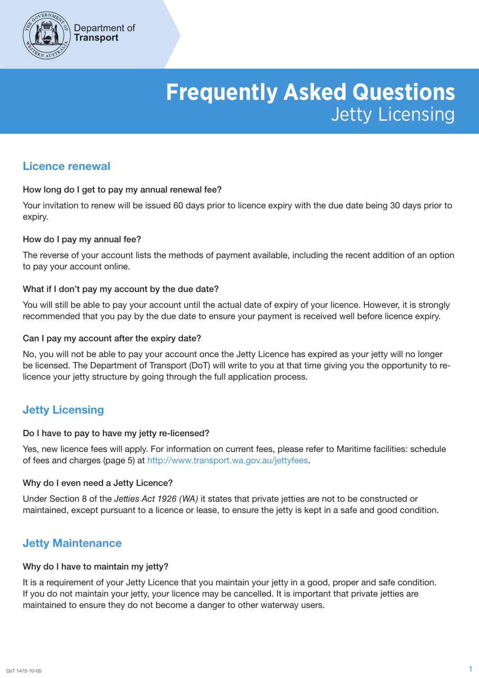

# **Frequently Asked Questions** Jetty Licensing

# Licence renewal

## How long do I get to pay my annual renewal fee?

Your invitation to renew will be issued 60 days prior to licence expiry with the due date being 30 days prior to expiry.

## How do I pay my annual fee?

The reverse of your account lists the methods of payment available, including the recent addition of an option to pay your account online.

## What if I don't pay my account by the due date?

You will still be able to pay your account until the actual date of expiry of your licence. However, it is strongly recommended that you pay by the due date to ensure your payment is received well before licence expiry.

## Can I pay my account after the expiry date?

No, you will not be able to pay your account once the Jetty Licence has expired as your jetty will no longer be licensed. The Department of Transport (DoT) will write to you at that time giving you the opportunity to relicence your jetty structure by going through the full application process.

# Jetty Licensing

#### Do I have to pay to have my jetty re-licensed?

Yes, new licence fees will apply. For information on current fees, please refer to Maritime facilities: schedule of fees and charges (page 5) at http://www.transport.wa.gov.au/jettyfees.

# Why do I even need a Jetty Licence?

Under Section 8 of the *Jetties Act 1926 (WA)* it states that private jetties are not to be constructed or maintained, except pursuant to a licence or lease, to ensure the jetty is kept in a safe and good condition.

# Jetty Maintenance

#### Why do I have to maintain my jetty?

It is a requirement of your Jetty Licence that you maintain your jetty in a good, proper and safe condition. If you do not maintain your jetty, your licence may be cancelled. It is important that private jetties are maintained to ensure they do not become a danger to other waterway users.